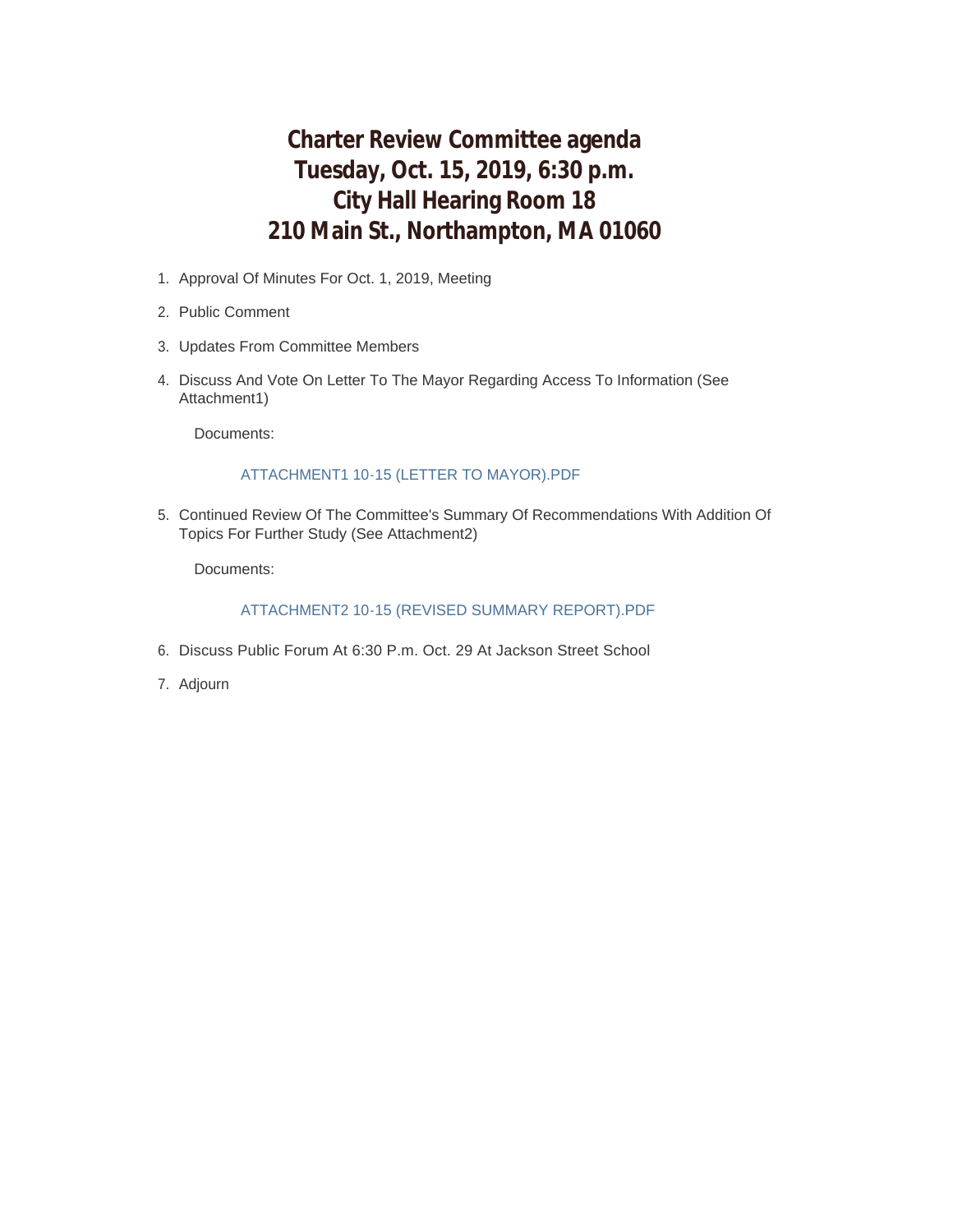# **Charter Review Committee agenda Tuesday, Oct. 15, 2019, 6:30 p.m. City Hall Hearing Room 18 210 Main St., Northampton, MA 01060**

- 1. Approval Of Minutes For Oct. 1, 2019, Meeting
- 2. Public Comment
- 3. Updates From Committee Members
- 4. Discuss And Vote On Letter To The Mayor Regarding Access To Information (See Attachment1)

Documents:

#### ATTACHMENT1 10-15 (LETTER TO MAYOR).PDF

5. Continued Review Of The Committee's Summary Of Recommendations With Addition Of Topics For Further Study (See Attachment2)

Documents:

#### ATTACHMENT2 10-15 (REVISED SUMMARY REPORT).PDF

- 6. Discuss Public Forum At 6:30 P.m. Oct. 29 At Jackson Street School
- 7. Adjourn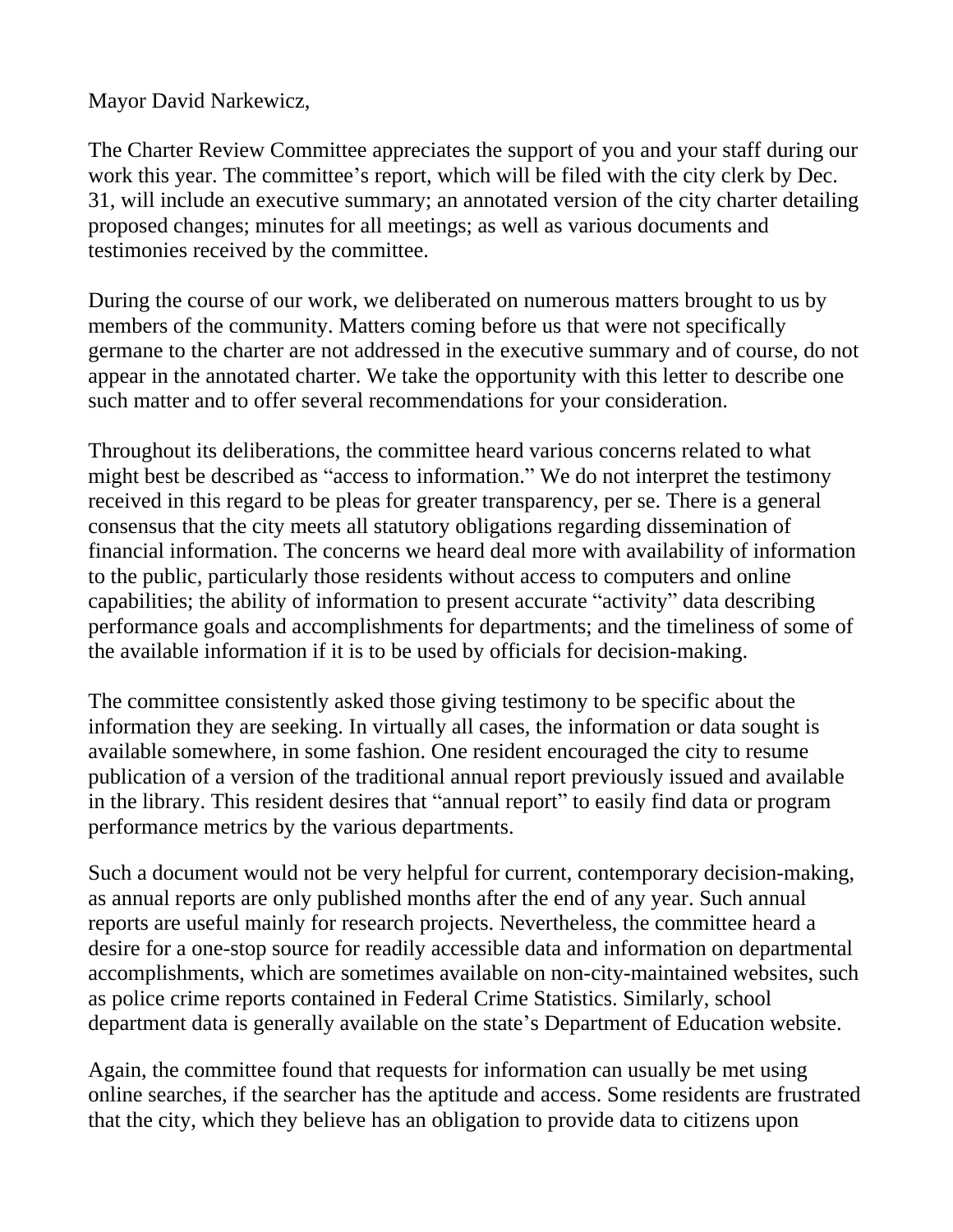Mayor David Narkewicz,

The Charter Review Committee appreciates the support of you and your staff during our work this year. The committee's report, which will be filed with the city clerk by Dec. 31, will include an executive summary; an annotated version of the city charter detailing proposed changes; minutes for all meetings; as well as various documents and testimonies received by the committee.

During the course of our work, we deliberated on numerous matters brought to us by members of the community. Matters coming before us that were not specifically germane to the charter are not addressed in the executive summary and of course, do not appear in the annotated charter. We take the opportunity with this letter to describe one such matter and to offer several recommendations for your consideration.

Throughout its deliberations, the committee heard various concerns related to what might best be described as "access to information." We do not interpret the testimony received in this regard to be pleas for greater transparency, per se. There is a general consensus that the city meets all statutory obligations regarding dissemination of financial information. The concerns we heard deal more with availability of information to the public, particularly those residents without access to computers and online capabilities; the ability of information to present accurate "activity" data describing performance goals and accomplishments for departments; and the timeliness of some of the available information if it is to be used by officials for decision-making.

The committee consistently asked those giving testimony to be specific about the information they are seeking. In virtually all cases, the information or data sought is available somewhere, in some fashion. One resident encouraged the city to resume publication of a version of the traditional annual report previously issued and available in the library. This resident desires that "annual report" to easily find data or program performance metrics by the various departments.

Such a document would not be very helpful for current, contemporary decision-making, as annual reports are only published months after the end of any year. Such annual reports are useful mainly for research projects. Nevertheless, the committee heard a desire for a one-stop source for readily accessible data and information on departmental accomplishments, which are sometimes available on non-city-maintained websites, such as police crime reports contained in Federal Crime Statistics. Similarly, school department data is generally available on the state's Department of Education website.

Again, the committee found that requests for information can usually be met using online searches, if the searcher has the aptitude and access. Some residents are frustrated that the city, which they believe has an obligation to provide data to citizens upon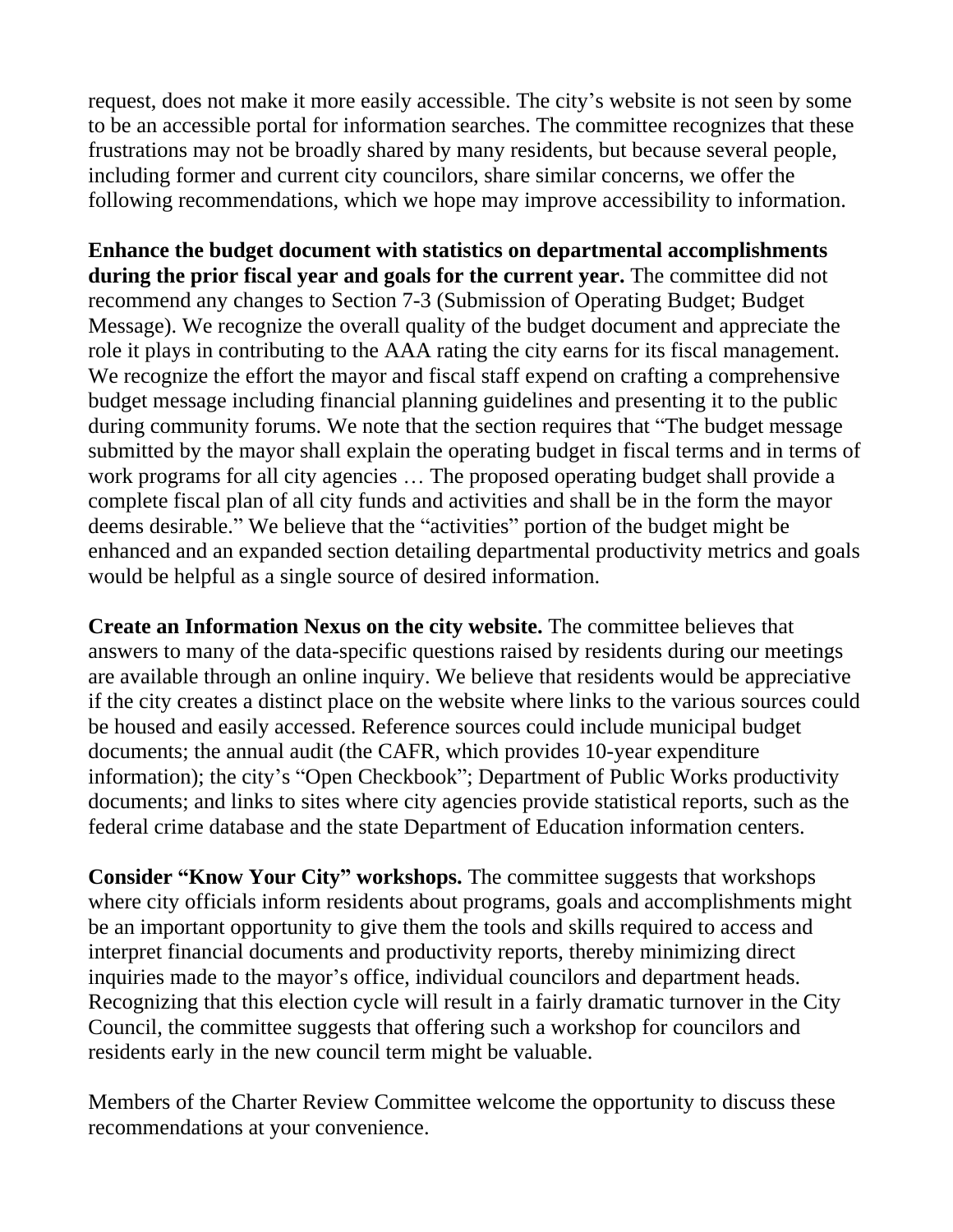request, does not make it more easily accessible. The city's website is not seen by some to be an accessible portal for information searches. The committee recognizes that these frustrations may not be broadly shared by many residents, but because several people, including former and current city councilors, share similar concerns, we offer the following recommendations, which we hope may improve accessibility to information.

**Enhance the budget document with statistics on departmental accomplishments during the prior fiscal year and goals for the current year.** The committee did not recommend any changes to Section 7-3 (Submission of Operating Budget; Budget Message). We recognize the overall quality of the budget document and appreciate the role it plays in contributing to the AAA rating the city earns for its fiscal management. We recognize the effort the mayor and fiscal staff expend on crafting a comprehensive budget message including financial planning guidelines and presenting it to the public during community forums. We note that the section requires that "The budget message submitted by the mayor shall explain the operating budget in fiscal terms and in terms of work programs for all city agencies … The proposed operating budget shall provide a complete fiscal plan of all city funds and activities and shall be in the form the mayor deems desirable." We believe that the "activities" portion of the budget might be enhanced and an expanded section detailing departmental productivity metrics and goals would be helpful as a single source of desired information.

**Create an Information Nexus on the city website.** The committee believes that answers to many of the data-specific questions raised by residents during our meetings are available through an online inquiry. We believe that residents would be appreciative if the city creates a distinct place on the website where links to the various sources could be housed and easily accessed. Reference sources could include municipal budget documents; the annual audit (the CAFR, which provides 10-year expenditure information); the city's "Open Checkbook"; Department of Public Works productivity documents; and links to sites where city agencies provide statistical reports, such as the federal crime database and the state Department of Education information centers.

**Consider "Know Your City" workshops.** The committee suggests that workshops where city officials inform residents about programs, goals and accomplishments might be an important opportunity to give them the tools and skills required to access and interpret financial documents and productivity reports, thereby minimizing direct inquiries made to the mayor's office, individual councilors and department heads. Recognizing that this election cycle will result in a fairly dramatic turnover in the City Council, the committee suggests that offering such a workshop for councilors and residents early in the new council term might be valuable.

Members of the Charter Review Committee welcome the opportunity to discuss these recommendations at your convenience.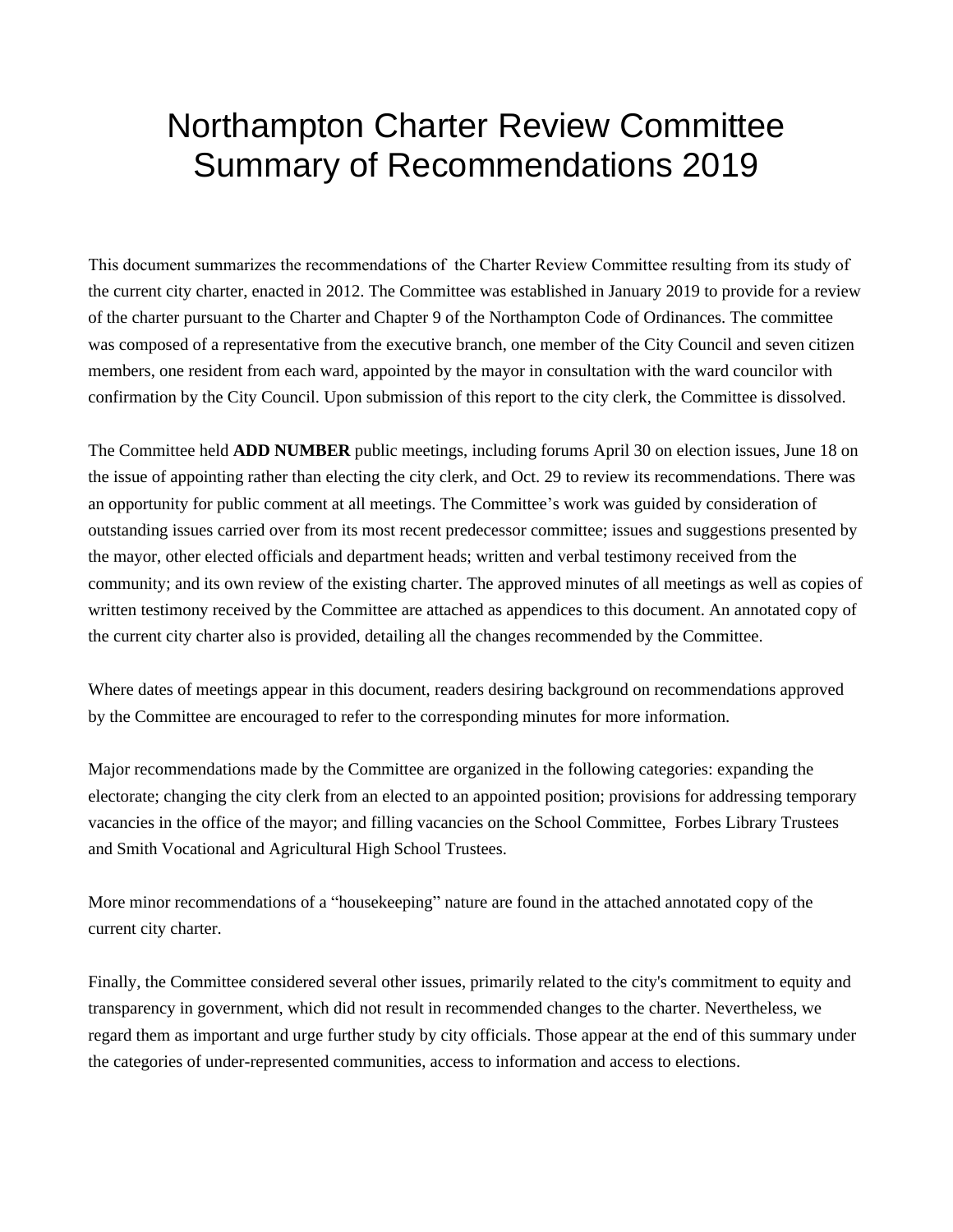# Northampton Charter Review Committee Summary of Recommendations 2019

This document summarizes the recommendations of the Charter Review Committee resulting from its study of the current city charter, enacted in 2012. The Committee was established in January 2019 to provide for a review of the charter pursuant to the Charter and Chapter 9 of the Northampton Code of Ordinances. The committee was composed of a representative from the executive branch, one member of the City Council and seven citizen members, one resident from each ward, appointed by the mayor in consultation with the ward councilor with confirmation by the City Council. Upon submission of this report to the city clerk, the Committee is dissolved.

The Committee held **ADD NUMBER** public meetings, including forums April 30 on election issues, June 18 on the issue of appointing rather than electing the city clerk, and Oct. 29 to review its recommendations. There was an opportunity for public comment at all meetings. The Committee's work was guided by consideration of outstanding issues carried over from its most recent predecessor committee; issues and suggestions presented by the mayor, other elected officials and department heads; written and verbal testimony received from the community; and its own review of the existing charter. The approved minutes of all meetings as well as copies of written testimony received by the Committee are attached as appendices to this document. An annotated copy of the current city charter also is provided, detailing all the changes recommended by the Committee.

Where dates of meetings appear in this document, readers desiring background on recommendations approved by the Committee are encouraged to refer to the corresponding minutes for more information.

Major recommendations made by the Committee are organized in the following categories: expanding the electorate; changing the city clerk from an elected to an appointed position; provisions for addressing temporary vacancies in the office of the mayor; and filling vacancies on the School Committee, Forbes Library Trustees and Smith Vocational and Agricultural High School Trustees.

More minor recommendations of a "housekeeping" nature are found in the attached annotated copy of the current city charter.

Finally, the Committee considered several other issues, primarily related to the city's commitment to equity and transparency in government, which did not result in recommended changes to the charter. Nevertheless, we regard them as important and urge further study by city officials. Those appear at the end of this summary under the categories of under-represented communities, access to information and access to elections.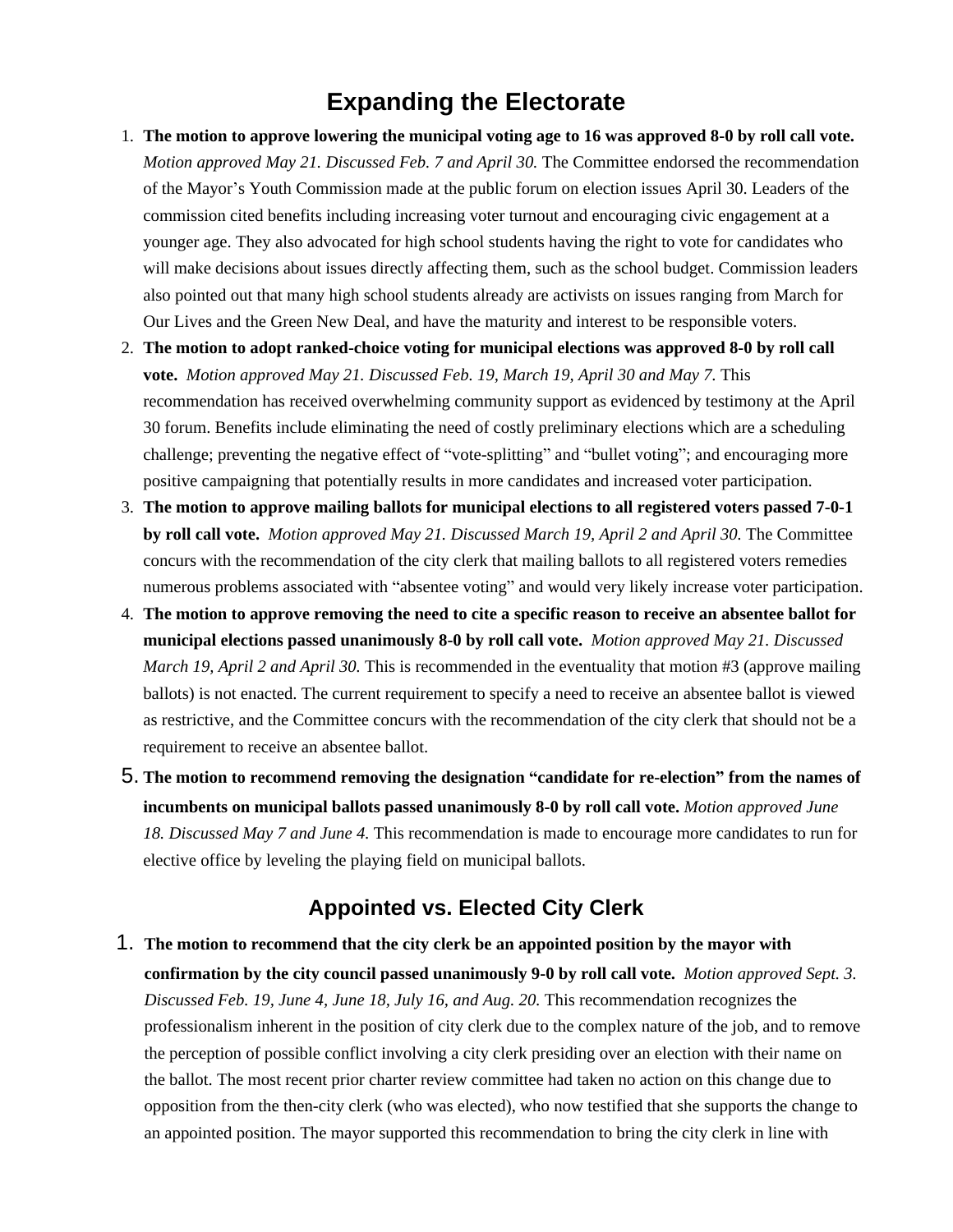# **Expanding the Electorate**

- 1. **The motion to approve lowering the municipal voting age to 16 was approved 8-0 by roll call vote.**  *Motion approved May 21. Discussed Feb. 7 and April 30.* The Committee endorsed the recommendation of the Mayor's Youth Commission made at the public forum on election issues April 30. Leaders of the commission cited benefits including increasing voter turnout and encouraging civic engagement at a younger age. They also advocated for high school students having the right to vote for candidates who will make decisions about issues directly affecting them, such as the school budget. Commission leaders also pointed out that many high school students already are activists on issues ranging from March for Our Lives and the Green New Deal, and have the maturity and interest to be responsible voters.
- 2. **The motion to adopt ranked-choice voting for municipal elections was approved 8-0 by roll call vote.** *Motion approved May 21. Discussed Feb. 19, March 19, April 30 and May 7.* This recommendation has received overwhelming community support as evidenced by testimony at the April 30 forum. Benefits include eliminating the need of costly preliminary elections which are a scheduling challenge; preventing the negative effect of "vote-splitting" and "bullet voting"; and encouraging more positive campaigning that potentially results in more candidates and increased voter participation.
- 3. **The motion to approve mailing ballots for municipal elections to all registered voters passed 7-0-1 by roll call vote.** *Motion approved May 21. Discussed March 19, April 2 and April 30.* The Committee concurs with the recommendation of the city clerk that mailing ballots to all registered voters remedies numerous problems associated with "absentee voting" and would very likely increase voter participation.
- 4. **The motion to approve removing the need to cite a specific reason to receive an absentee ballot for municipal elections passed unanimously 8-0 by roll call vote.** *Motion approved May 21. Discussed March 19, April 2 and April 30.* This is recommended in the eventuality that motion #3 (approve mailing ballots) is not enacted. The current requirement to specify a need to receive an absentee ballot is viewed as restrictive, and the Committee concurs with the recommendation of the city clerk that should not be a requirement to receive an absentee ballot.
- 5. **The motion to recommend removing the designation "candidate for re-election" from the names of incumbents on municipal ballots passed unanimously 8-0 by roll call vote.** *Motion approved June 18. Discussed May 7 and June 4.* This recommendation is made to encourage more candidates to run for elective office by leveling the playing field on municipal ballots.

## **Appointed vs. Elected City Clerk**

1. **The motion to recommend that the city clerk be an appointed position by the mayor with confirmation by the city council passed unanimously 9-0 by roll call vote.** *Motion approved Sept. 3. Discussed Feb. 19, June 4, June 18, July 16, and Aug. 20.* This recommendation recognizes the professionalism inherent in the position of city clerk due to the complex nature of the job, and to remove the perception of possible conflict involving a city clerk presiding over an election with their name on the ballot. The most recent prior charter review committee had taken no action on this change due to opposition from the then-city clerk (who was elected), who now testified that she supports the change to an appointed position. The mayor supported this recommendation to bring the city clerk in line with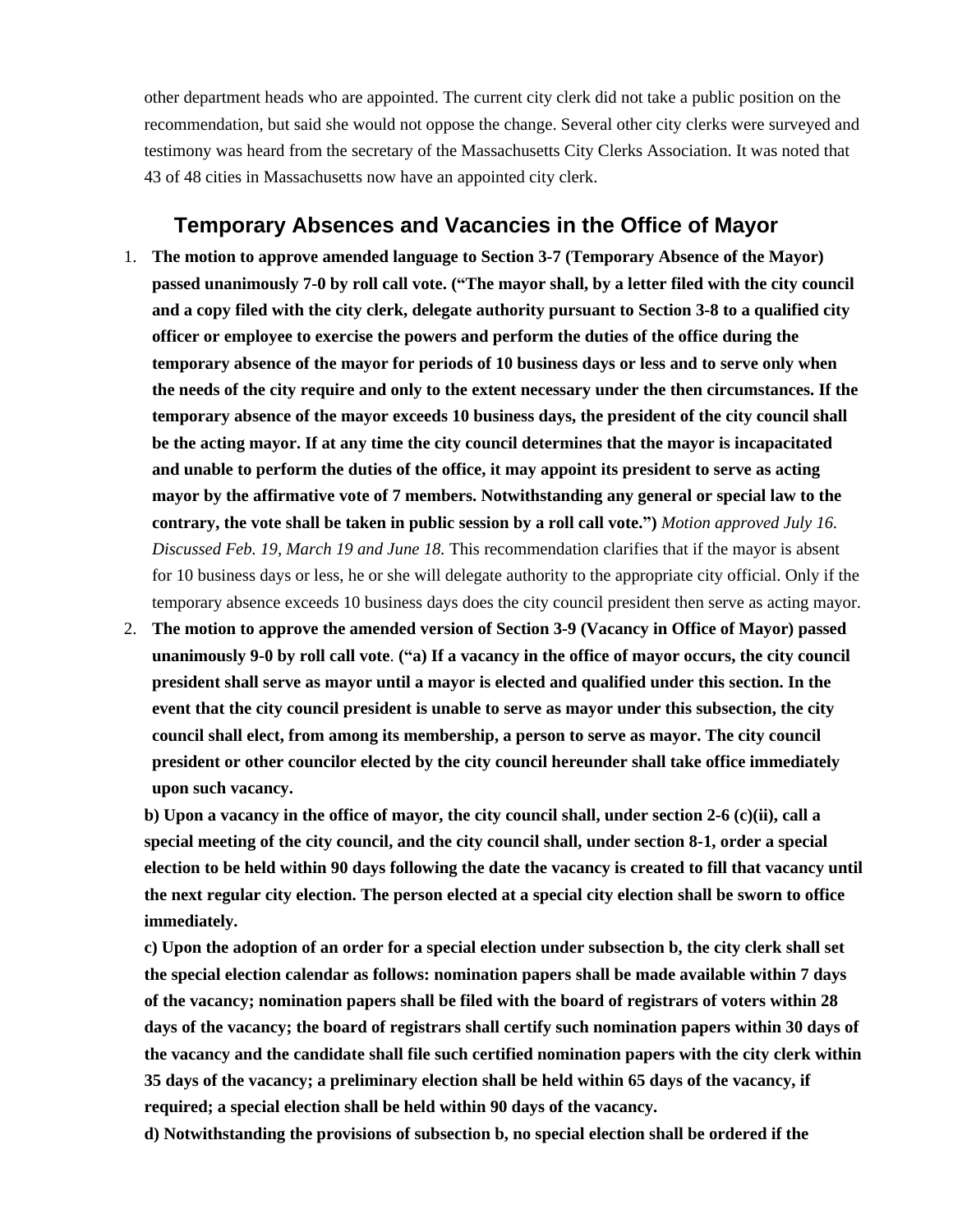other department heads who are appointed. The current city clerk did not take a public position on the recommendation, but said she would not oppose the change. Several other city clerks were surveyed and testimony was heard from the secretary of the Massachusetts City Clerks Association. It was noted that 43 of 48 cities in Massachusetts now have an appointed city clerk.

#### **Temporary Absences and Vacancies in the Office of Mayor**

- 1. **The motion to approve amended language to Section 3-7 (Temporary Absence of the Mayor) passed unanimously 7-0 by roll call vote. ("The mayor shall, by a letter filed with the city council and a copy filed with the city clerk, delegate authority pursuant to Section 3-8 to a qualified city officer or employee to exercise the powers and perform the duties of the office during the temporary absence of the mayor for periods of 10 business days or less and to serve only when the needs of the city require and only to the extent necessary under the then circumstances. If the temporary absence of the mayor exceeds 10 business days, the president of the city council shall be the acting mayor. If at any time the city council determines that the mayor is incapacitated and unable to perform the duties of the office, it may appoint its president to serve as acting mayor by the affirmative vote of 7 members. Notwithstanding any general or special law to the contrary, the vote shall be taken in public session by a roll call vote.")** *Motion approved July 16. Discussed Feb. 19, March 19 and June 18.* This recommendation clarifies that if the mayor is absent for 10 business days or less, he or she will delegate authority to the appropriate city official. Only if the temporary absence exceeds 10 business days does the city council president then serve as acting mayor.
- 2. **The motion to approve the amended version of Section 3-9 (Vacancy in Office of Mayor) passed unanimously 9-0 by roll call vote**. **("a) If a vacancy in the office of mayor occurs, the city council president shall serve as mayor until a mayor is elected and qualified under this section. In the event that the city council president is unable to serve as mayor under this subsection, the city council shall elect, from among its membership, a person to serve as mayor. The city council president or other councilor elected by the city council hereunder shall take office immediately upon such vacancy.**

**b) Upon a vacancy in the office of mayor, the city council shall, under section 2-6 (c)(ii), call a special meeting of the city council, and the city council shall, under section 8-1, order a special election to be held within 90 days following the date the vacancy is created to fill that vacancy until the next regular city election. The person elected at a special city election shall be sworn to office immediately.**

**c) Upon the adoption of an order for a special election under subsection b, the city clerk shall set the special election calendar as follows: nomination papers shall be made available within 7 days of the vacancy; nomination papers shall be filed with the board of registrars of voters within 28 days of the vacancy; the board of registrars shall certify such nomination papers within 30 days of the vacancy and the candidate shall file such certified nomination papers with the city clerk within 35 days of the vacancy; a preliminary election shall be held within 65 days of the vacancy, if required; a special election shall be held within 90 days of the vacancy.**

**d) Notwithstanding the provisions of subsection b, no special election shall be ordered if the**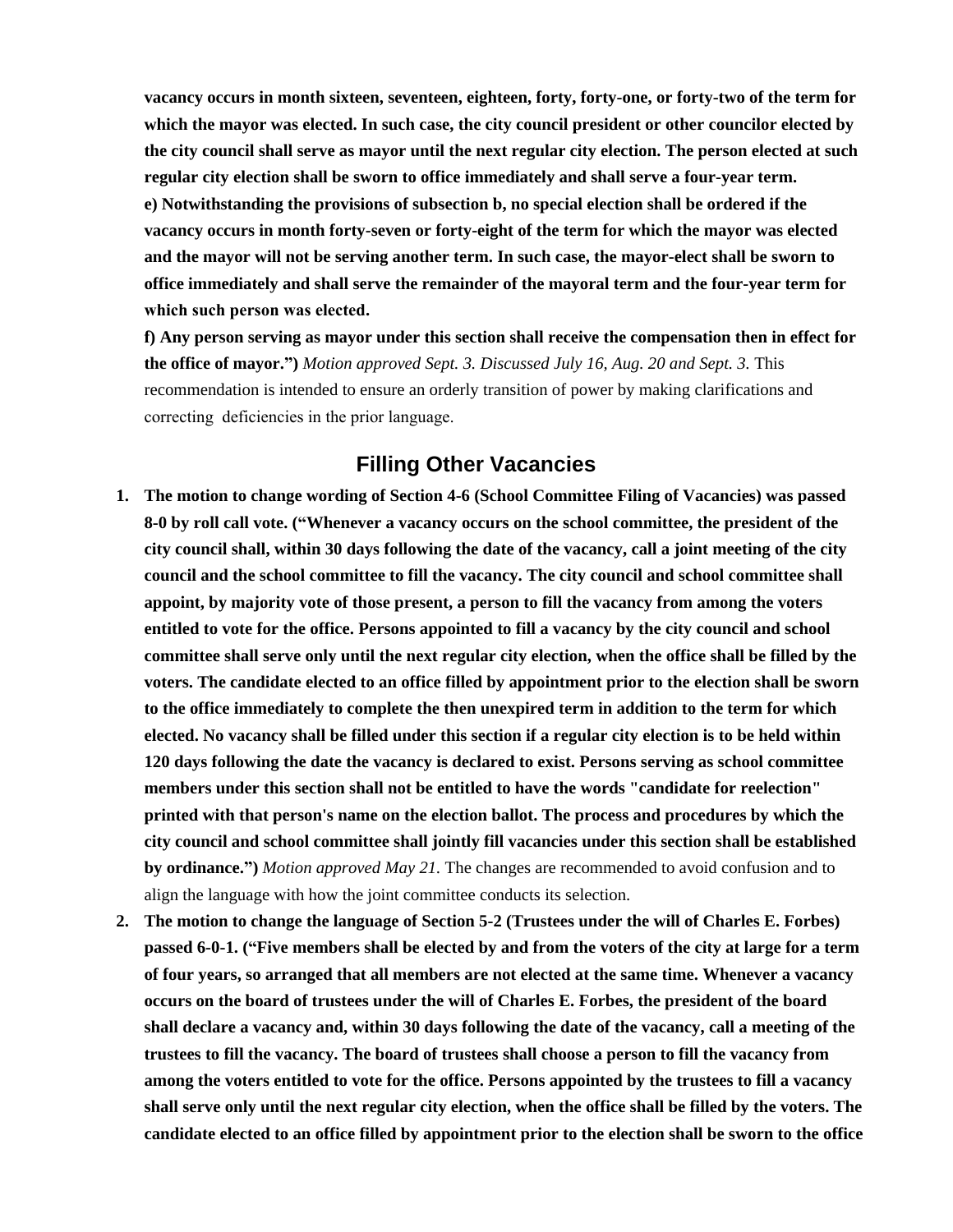**vacancy occurs in month sixteen, seventeen, eighteen, forty, forty-one, or forty-two of the term for which the mayor was elected. In such case, the city council president or other councilor elected by the city council shall serve as mayor until the next regular city election. The person elected at such regular city election shall be sworn to office immediately and shall serve a four-year term. e) Notwithstanding the provisions of subsection b, no special election shall be ordered if the vacancy occurs in month forty-seven or forty-eight of the term for which the mayor was elected and the mayor will not be serving another term. In such case, the mayor-elect shall be sworn to office immediately and shall serve the remainder of the mayoral term and the four-year term for which such person was elected.** 

**f) Any person serving as mayor under this section shall receive the compensation then in effect for the office of mayor.")** *Motion approved Sept. 3. Discussed July 16, Aug. 20 and Sept. 3.* This recommendation is intended to ensure an orderly transition of power by making clarifications and correcting deficiencies in the prior language.

### **Filling Other Vacancies**

- **1. The motion to change wording of Section 4-6 (School Committee Filing of Vacancies) was passed 8-0 by roll call vote. ("Whenever a vacancy occurs on the school committee, the president of the city council shall, within 30 days following the date of the vacancy, call a joint meeting of the city council and the school committee to fill the vacancy. The city council and school committee shall appoint, by majority vote of those present, a person to fill the vacancy from among the voters entitled to vote for the office. Persons appointed to fill a vacancy by the city council and school committee shall serve only until the next regular city election, when the office shall be filled by the voters. The candidate elected to an office filled by appointment prior to the election shall be sworn to the office immediately to complete the then unexpired term in addition to the term for which elected. No vacancy shall be filled under this section if a regular city election is to be held within 120 days following the date the vacancy is declared to exist. Persons serving as school committee members under this section shall not be entitled to have the words "candidate for reelection" printed with that person's name on the election ballot. The process and procedures by which the city council and school committee shall jointly fill vacancies under this section shall be established by ordinance.")** *Motion approved May 21.* The changes are recommended to avoid confusion and to align the language with how the joint committee conducts its selection.
- **2. The motion to change the language of Section 5-2 (Trustees under the will of Charles E. Forbes) passed 6-0-1. ("Five members shall be elected by and from the voters of the city at large for a term of four years, so arranged that all members are not elected at the same time. Whenever a vacancy occurs on the board of trustees under the will of Charles E. Forbes, the president of the board shall declare a vacancy and, within 30 days following the date of the vacancy, call a meeting of the trustees to fill the vacancy. The board of trustees shall choose a person to fill the vacancy from among the voters entitled to vote for the office. Persons appointed by the trustees to fill a vacancy shall serve only until the next regular city election, when the office shall be filled by the voters. The candidate elected to an office filled by appointment prior to the election shall be sworn to the office**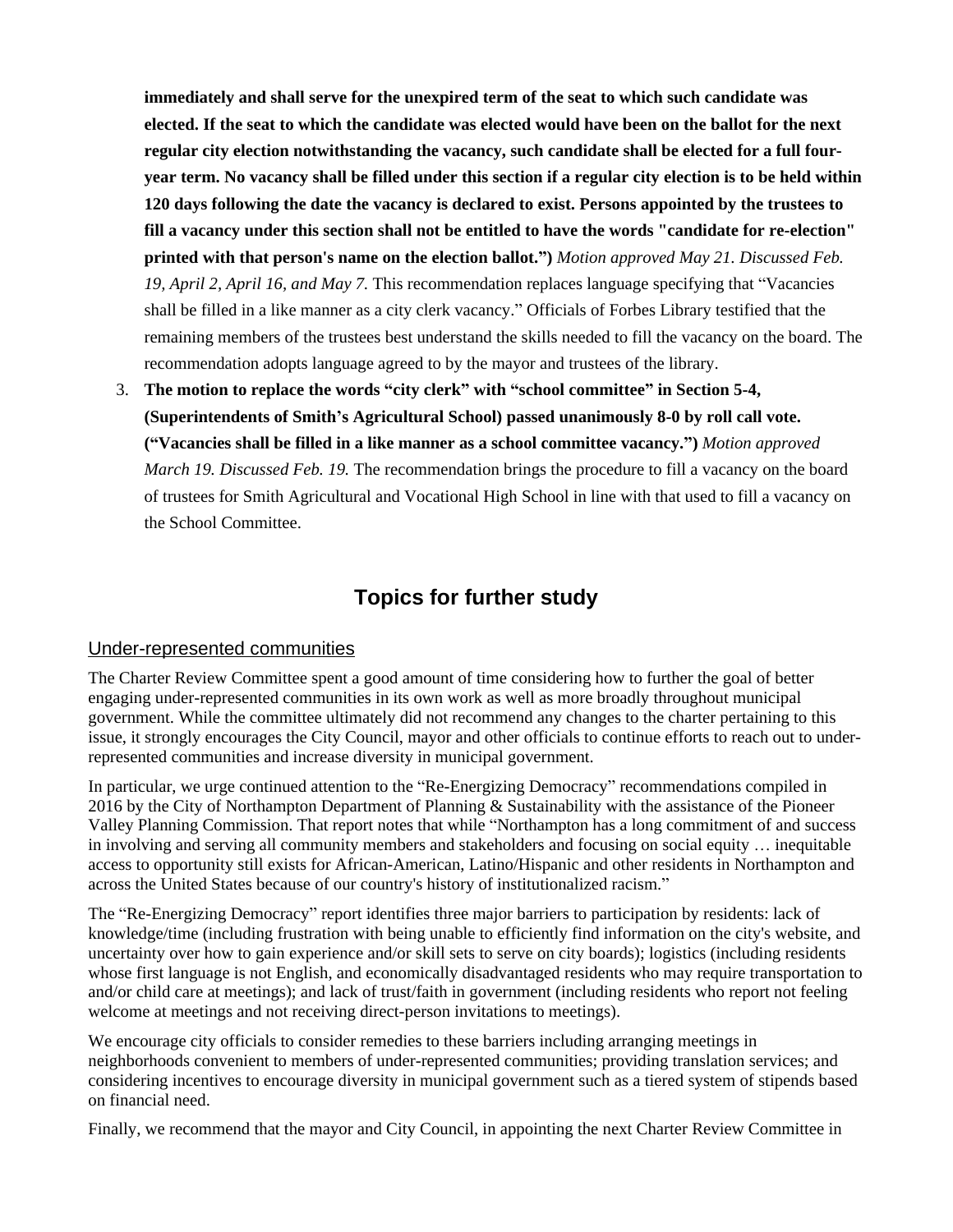**immediately and shall serve for the unexpired term of the seat to which such candidate was elected. If the seat to which the candidate was elected would have been on the ballot for the next regular city election notwithstanding the vacancy, such candidate shall be elected for a full fouryear term. No vacancy shall be filled under this section if a regular city election is to be held within 120 days following the date the vacancy is declared to exist. Persons appointed by the trustees to fill a vacancy under this section shall not be entitled to have the words "candidate for re-election" printed with that person's name on the election ballot.")** *Motion approved May 21. Discussed Feb. 19, April 2, April 16, and May 7.* This recommendation replaces language specifying that "Vacancies shall be filled in a like manner as a city clerk vacancy." Officials of Forbes Library testified that the remaining members of the trustees best understand the skills needed to fill the vacancy on the board. The recommendation adopts language agreed to by the mayor and trustees of the library.

3. **The motion to replace the words "city clerk" with "school committee" in Section 5-4, (Superintendents of Smith's Agricultural School) passed unanimously 8-0 by roll call vote. ("Vacancies shall be filled in a like manner as a school committee vacancy.")** *Motion approved March 19. Discussed Feb. 19.* The recommendation brings the procedure to fill a vacancy on the board of trustees for Smith Agricultural and Vocational High School in line with that used to fill a vacancy on the School Committee.

## **Topics for further study**

#### Under-represented communities

The Charter Review Committee spent a good amount of time considering how to further the goal of better engaging under-represented communities in its own work as well as more broadly throughout municipal government. While the committee ultimately did not recommend any changes to the charter pertaining to this issue, it strongly encourages the City Council, mayor and other officials to continue efforts to reach out to underrepresented communities and increase diversity in municipal government.

In particular, we urge continued attention to the "Re-Energizing Democracy" recommendations compiled in 2016 by the City of Northampton Department of Planning & Sustainability with the assistance of the Pioneer Valley Planning Commission. That report notes that while "Northampton has a long commitment of and success in involving and serving all community members and stakeholders and focusing on social equity … inequitable access to opportunity still exists for African-American, Latino/Hispanic and other residents in Northampton and across the United States because of our country's history of institutionalized racism."

The "Re-Energizing Democracy" report identifies three major barriers to participation by residents: lack of knowledge/time (including frustration with being unable to efficiently find information on the city's website, and uncertainty over how to gain experience and/or skill sets to serve on city boards); logistics (including residents whose first language is not English, and economically disadvantaged residents who may require transportation to and/or child care at meetings); and lack of trust/faith in government (including residents who report not feeling welcome at meetings and not receiving direct-person invitations to meetings).

We encourage city officials to consider remedies to these barriers including arranging meetings in neighborhoods convenient to members of under-represented communities; providing translation services; and considering incentives to encourage diversity in municipal government such as a tiered system of stipends based on financial need.

Finally, we recommend that the mayor and City Council, in appointing the next Charter Review Committee in